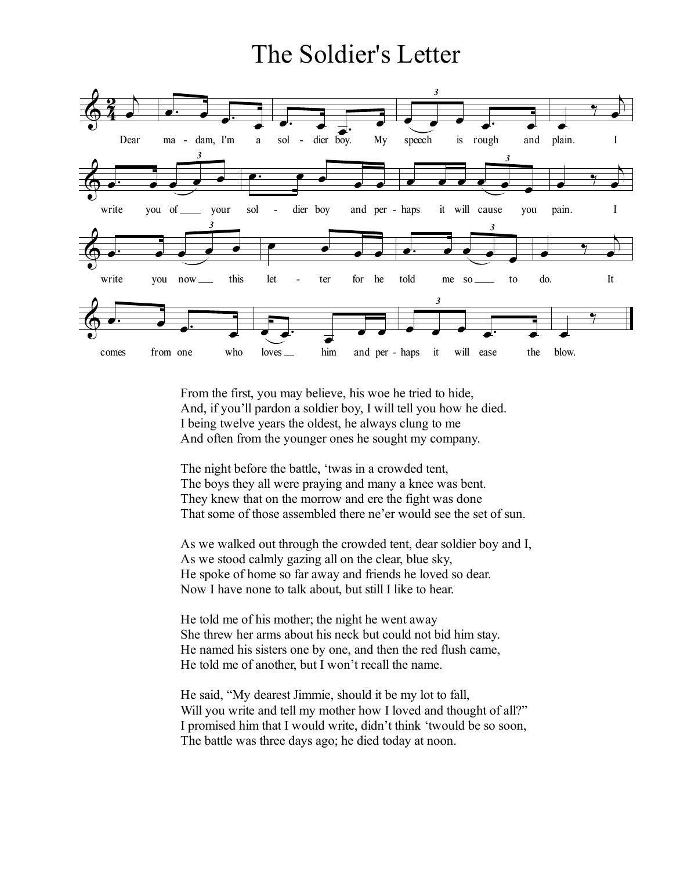## The Soldier's Letter



From the first, you may believe, his woe he tried to hide, And, if you'll pardon a soldier boy, I will tell you how he died. I being twelve years the oldest, he always clung to me And often from the younger ones he sought my company.

The night before the battle, 'twas in a crowded tent, The boys they all were praying and many a knee was bent. They knew that on the morrow and ere the fight was done That some of those assembled there ne'er would see the set of sun.

As we walked out through the crowded tent, dear soldier boy and I, As we stood calmly gazing all on the clear, blue sky, He spoke of home so far away and friends he loved so dear. Now I have none to talk about, but still I like to hear.

He told me of his mother; the night he went away She threw her arms about his neck but could not bid him stay. He named his sisters one by one, and then the red flush came, He told me of another, but I won't recall the name.

He said, "My dearest Jimmie, should it be my lot to fall, Will you write and tell my mother how I loved and thought of all?" I promised him that I would write, didn't think 'twould be so soon, The battle was three days ago; he died today at noon.